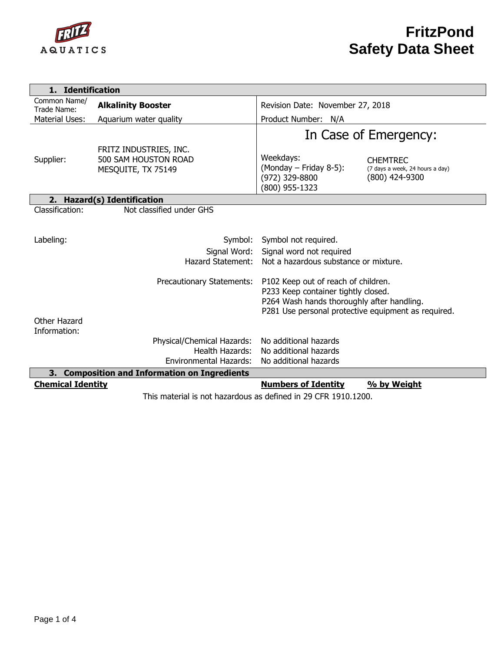

| 1. Identification                             |                                                                      |                                                                                                                                                                                 |  |  |  |  |
|-----------------------------------------------|----------------------------------------------------------------------|---------------------------------------------------------------------------------------------------------------------------------------------------------------------------------|--|--|--|--|
| Common Name/<br>Trade Name:                   | <b>Alkalinity Booster</b>                                            | Revision Date: November 27, 2018                                                                                                                                                |  |  |  |  |
| <b>Material Uses:</b>                         | Aquarium water quality                                               | Product Number: N/A                                                                                                                                                             |  |  |  |  |
|                                               |                                                                      | In Case of Emergency:                                                                                                                                                           |  |  |  |  |
| Supplier:                                     | FRITZ INDUSTRIES, INC.<br>500 SAM HOUSTON ROAD<br>MESQUITE, TX 75149 | Weekdays:<br><b>CHEMTREC</b><br>(Monday - Friday 8-5):<br>(7 days a week, 24 hours a day)<br>(800) 424-9300<br>(972) 329-8800<br>(800) 955-1323                                 |  |  |  |  |
|                                               | 2. Hazard(s) Identification                                          |                                                                                                                                                                                 |  |  |  |  |
| Classification:                               | Not classified under GHS                                             |                                                                                                                                                                                 |  |  |  |  |
| Labeling:                                     | Symbol:<br>Signal Word:<br>Hazard Statement:                         | Symbol not required.<br>Signal word not required<br>Not a hazardous substance or mixture.                                                                                       |  |  |  |  |
| Other Hazard<br>Information:                  | Precautionary Statements:                                            | P102 Keep out of reach of children.<br>P233 Keep container tightly closed.<br>P264 Wash hands thoroughly after handling.<br>P281 Use personal protective equipment as required. |  |  |  |  |
|                                               | Physical/Chemical Hazards:                                           | No additional hazards                                                                                                                                                           |  |  |  |  |
|                                               | Health Hazards:                                                      | No additional hazards                                                                                                                                                           |  |  |  |  |
|                                               | Environmental Hazards:                                               | No additional hazards                                                                                                                                                           |  |  |  |  |
| 3. Composition and Information on Ingredients |                                                                      |                                                                                                                                                                                 |  |  |  |  |
| <b>Chemical Identity</b>                      |                                                                      | <b>Numbers of Identity</b><br>% by Weight                                                                                                                                       |  |  |  |  |
|                                               |                                                                      | This material is not hazardous as defined in 29 CED 1910 1200.                                                                                                                  |  |  |  |  |

This material is not hazardous as defined in 29 CFR 1910.1200.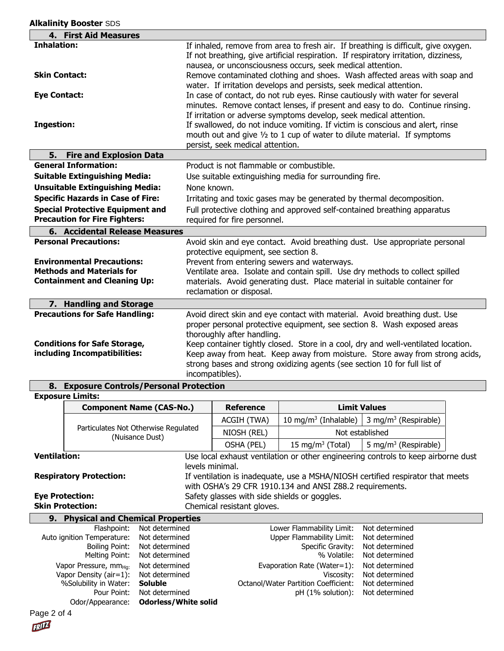| 4. First Aid Measures                    |                                                                                                                                                     |  |  |
|------------------------------------------|-----------------------------------------------------------------------------------------------------------------------------------------------------|--|--|
| <b>Inhalation:</b>                       | If inhaled, remove from area to fresh air. If breathing is difficult, give oxygen.                                                                  |  |  |
|                                          | If not breathing, give artificial respiration. If respiratory irritation, dizziness,                                                                |  |  |
|                                          | nausea, or unconsciousness occurs, seek medical attention.                                                                                          |  |  |
| <b>Skin Contact:</b>                     | Remove contaminated clothing and shoes. Wash affected areas with soap and                                                                           |  |  |
|                                          | water. If irritation develops and persists, seek medical attention.                                                                                 |  |  |
| <b>Eye Contact:</b>                      | In case of contact, do not rub eyes. Rinse cautiously with water for several                                                                        |  |  |
|                                          | minutes. Remove contact lenses, if present and easy to do. Continue rinsing.                                                                        |  |  |
| <b>Ingestion:</b>                        | If irritation or adverse symptoms develop, seek medical attention.<br>If swallowed, do not induce vomiting. If victim is conscious and alert, rinse |  |  |
|                                          | mouth out and give 1/2 to 1 cup of water to dilute material. If symptoms                                                                            |  |  |
|                                          | persist, seek medical attention.                                                                                                                    |  |  |
| 5. Fire and Explosion Data               |                                                                                                                                                     |  |  |
| <b>General Information:</b>              | Product is not flammable or combustible.                                                                                                            |  |  |
| <b>Suitable Extinguishing Media:</b>     | Use suitable extinguishing media for surrounding fire.                                                                                              |  |  |
| <b>Unsuitable Extinguishing Media:</b>   | None known.                                                                                                                                         |  |  |
| <b>Specific Hazards in Case of Fire:</b> | Irritating and toxic gases may be generated by thermal decomposition.                                                                               |  |  |
| <b>Special Protective Equipment and</b>  | Full protective clothing and approved self-contained breathing apparatus                                                                            |  |  |
| <b>Precaution for Fire Fighters:</b>     | required for fire personnel.                                                                                                                        |  |  |
| 6. Accidental Release Measures           |                                                                                                                                                     |  |  |
| <b>Personal Precautions:</b>             | Avoid skin and eye contact. Avoid breathing dust. Use appropriate personal                                                                          |  |  |
|                                          | protective equipment, see section 8.                                                                                                                |  |  |
| <b>Environmental Precautions:</b>        | Prevent from entering sewers and waterways.                                                                                                         |  |  |
| <b>Methods and Materials for</b>         | Ventilate area. Isolate and contain spill. Use dry methods to collect spilled                                                                       |  |  |
| <b>Containment and Cleaning Up:</b>      | materials. Avoid generating dust. Place material in suitable container for                                                                          |  |  |
|                                          | reclamation or disposal.                                                                                                                            |  |  |
| 7. Handling and Storage                  |                                                                                                                                                     |  |  |
| <b>Precautions for Safe Handling:</b>    | Avoid direct skin and eye contact with material. Avoid breathing dust. Use                                                                          |  |  |
|                                          | proper personal protective equipment, see section 8. Wash exposed areas                                                                             |  |  |
| <b>Conditions for Safe Storage,</b>      | thoroughly after handling.<br>Keep container tightly closed. Store in a cool, dry and well-ventilated location.                                     |  |  |
| including Incompatibilities:             | Keep away from heat. Keep away from moisture. Store away from strong acids,                                                                         |  |  |
|                                          | strong bases and strong oxidizing agents (see section 10 for full list of                                                                           |  |  |
|                                          | incompatibles).                                                                                                                                     |  |  |
| 8. Exposure Controls/Personal Protection |                                                                                                                                                     |  |  |

## **8. Exposure Controls/Personal Protection**

Odor/Appearance: **Odorless/White solid**

**Exposure Limits:**

Page 2 of 4

FRILL

|                                                                                                                      | <b>Component Name (CAS-No.)</b>                             |                                  | <b>Reference</b>                                                                                                                           | <b>Limit Values</b>                           |                                  |  |  |
|----------------------------------------------------------------------------------------------------------------------|-------------------------------------------------------------|----------------------------------|--------------------------------------------------------------------------------------------------------------------------------------------|-----------------------------------------------|----------------------------------|--|--|
|                                                                                                                      | Particulates Not Otherwise Regulated<br>(Nuisance Dust)     |                                  | ACGIH (TWA)                                                                                                                                | 10 mg/m <sup>3</sup> (Inhalable)              | 3 mg/m <sup>3</sup> (Respirable) |  |  |
|                                                                                                                      |                                                             |                                  | NIOSH (REL)                                                                                                                                | Not established                               |                                  |  |  |
|                                                                                                                      |                                                             |                                  | OSHA (PEL)                                                                                                                                 | 15 mg/m <sup>3</sup> (Total)                  | 5 mg/m <sup>3</sup> (Respirable) |  |  |
| Ventilation:<br>Use local exhaust ventilation or other engineering controls to keep airborne dust<br>levels minimal. |                                                             |                                  |                                                                                                                                            |                                               |                                  |  |  |
| <b>Respiratory Protection:</b>                                                                                       |                                                             |                                  | If ventilation is inadequate, use a MSHA/NIOSH certified respirator that meets<br>with OSHA's 29 CFR 1910.134 and ANSI Z88.2 requirements. |                                               |                                  |  |  |
| <b>Eye Protection:</b>                                                                                               |                                                             |                                  | Safety glasses with side shields or goggles.                                                                                               |                                               |                                  |  |  |
| <b>Skin Protection:</b>                                                                                              |                                                             |                                  | Chemical resistant gloves.                                                                                                                 |                                               |                                  |  |  |
| <b>Physical and Chemical Properties</b><br>9.                                                                        |                                                             |                                  |                                                                                                                                            |                                               |                                  |  |  |
|                                                                                                                      | Flashpoint:                                                 | Not determined                   |                                                                                                                                            | Lower Flammability Limit:                     | Not determined                   |  |  |
|                                                                                                                      | Auto ignition Temperature:                                  | Not determined                   |                                                                                                                                            | Upper Flammability Limit:                     | Not determined                   |  |  |
|                                                                                                                      | <b>Boiling Point:</b><br>Melting Point:                     | Not determined<br>Not determined |                                                                                                                                            | Specific Gravity:<br>% Volatile:              | Not determined<br>Not determined |  |  |
|                                                                                                                      | Vapor Pressure, mm <sub>Hq:</sub><br>Vapor Density (air=1): | Not determined<br>Not determined |                                                                                                                                            | Evaporation Rate (Water= $1$ ):<br>Viscosity: | Not determined<br>Not determined |  |  |
|                                                                                                                      | %Solubility in Water:                                       | <b>Soluble</b>                   |                                                                                                                                            | Octanol/Water Partition Coefficient:          | Not determined                   |  |  |

Pour Point: Not determined pH (1% solution): Not determined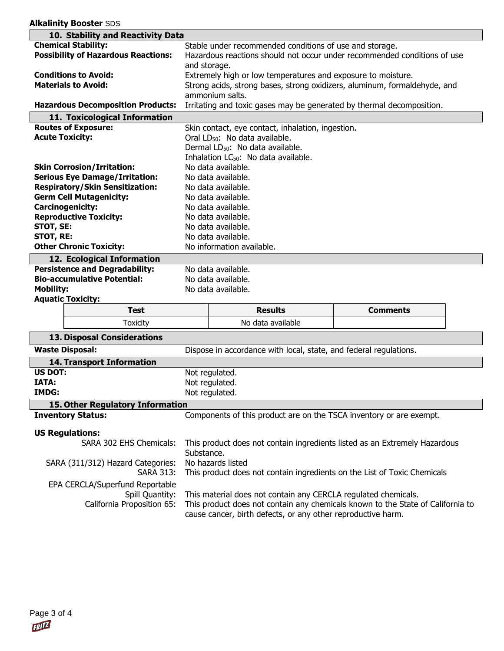| 10. Stability and Reactivity Data          |                                                                                          |                                                                                                                                                 |                                                                          |  |  |  |
|--------------------------------------------|------------------------------------------------------------------------------------------|-------------------------------------------------------------------------------------------------------------------------------------------------|--------------------------------------------------------------------------|--|--|--|
| <b>Chemical Stability:</b>                 |                                                                                          | Stable under recommended conditions of use and storage.                                                                                         |                                                                          |  |  |  |
| <b>Possibility of Hazardous Reactions:</b> |                                                                                          |                                                                                                                                                 | Hazardous reactions should not occur under recommended conditions of use |  |  |  |
|                                            | and storage.                                                                             |                                                                                                                                                 |                                                                          |  |  |  |
| <b>Conditions to Avoid:</b>                | Extremely high or low temperatures and exposure to moisture.                             |                                                                                                                                                 |                                                                          |  |  |  |
| <b>Materials to Avoid:</b>                 |                                                                                          | Strong acids, strong bases, strong oxidizers, aluminum, formaldehyde, and                                                                       |                                                                          |  |  |  |
|                                            |                                                                                          | ammonium salts.                                                                                                                                 |                                                                          |  |  |  |
| <b>Hazardous Decomposition Products:</b>   |                                                                                          | Irritating and toxic gases may be generated by thermal decomposition.                                                                           |                                                                          |  |  |  |
| 11. Toxicological Information              |                                                                                          |                                                                                                                                                 |                                                                          |  |  |  |
| <b>Routes of Exposure:</b>                 |                                                                                          | Skin contact, eye contact, inhalation, ingestion.                                                                                               |                                                                          |  |  |  |
| <b>Acute Toxicity:</b>                     | Oral LD <sub>50</sub> : No data available.                                               |                                                                                                                                                 |                                                                          |  |  |  |
|                                            |                                                                                          | Dermal LD <sub>50</sub> : No data available.                                                                                                    |                                                                          |  |  |  |
|                                            |                                                                                          | Inhalation LC <sub>50</sub> : No data available.                                                                                                |                                                                          |  |  |  |
| <b>Skin Corrosion/Irritation:</b>          |                                                                                          | No data available.                                                                                                                              |                                                                          |  |  |  |
| <b>Serious Eye Damage/Irritation:</b>      |                                                                                          | No data available.                                                                                                                              |                                                                          |  |  |  |
| <b>Respiratory/Skin Sensitization:</b>     |                                                                                          | No data available.                                                                                                                              |                                                                          |  |  |  |
| <b>Germ Cell Mutagenicity:</b>             |                                                                                          | No data available.                                                                                                                              |                                                                          |  |  |  |
| <b>Carcinogenicity:</b>                    |                                                                                          | No data available.                                                                                                                              |                                                                          |  |  |  |
| <b>Reproductive Toxicity:</b>              | No data available.                                                                       |                                                                                                                                                 |                                                                          |  |  |  |
| STOT, SE:                                  | No data available.                                                                       |                                                                                                                                                 |                                                                          |  |  |  |
| STOT, RE:                                  | No data available.                                                                       |                                                                                                                                                 |                                                                          |  |  |  |
| <b>Other Chronic Toxicity:</b>             | No information available.                                                                |                                                                                                                                                 |                                                                          |  |  |  |
| 12. Ecological Information                 |                                                                                          |                                                                                                                                                 |                                                                          |  |  |  |
| <b>Persistence and Degradability:</b>      | No data available.                                                                       |                                                                                                                                                 |                                                                          |  |  |  |
| <b>Bio-accumulative Potential:</b>         |                                                                                          | No data available.                                                                                                                              |                                                                          |  |  |  |
| <b>Mobility:</b>                           |                                                                                          | No data available.                                                                                                                              |                                                                          |  |  |  |
| <b>Aquatic Toxicity:</b>                   |                                                                                          |                                                                                                                                                 |                                                                          |  |  |  |
| <b>Test</b>                                |                                                                                          | <b>Results</b>                                                                                                                                  | <b>Comments</b>                                                          |  |  |  |
| <b>Toxicity</b>                            |                                                                                          | No data available                                                                                                                               |                                                                          |  |  |  |
| <b>13. Disposal Considerations</b>         |                                                                                          |                                                                                                                                                 |                                                                          |  |  |  |
| <b>Waste Disposal:</b>                     | Dispose in accordance with local, state, and federal regulations.                        |                                                                                                                                                 |                                                                          |  |  |  |
| <b>14. Transport Information</b>           |                                                                                          |                                                                                                                                                 |                                                                          |  |  |  |
| <b>US DOT:</b>                             | Not regulated.                                                                           |                                                                                                                                                 |                                                                          |  |  |  |
| <b>IATA:</b>                               | Not regulated.                                                                           |                                                                                                                                                 |                                                                          |  |  |  |
| <b>IMDG:</b>                               |                                                                                          | Not regulated.                                                                                                                                  |                                                                          |  |  |  |
| 15. Other Regulatory Information           |                                                                                          |                                                                                                                                                 |                                                                          |  |  |  |
| <b>Inventory Status:</b>                   |                                                                                          | Components of this product are on the TSCA inventory or are exempt.                                                                             |                                                                          |  |  |  |
| <b>US Regulations:</b>                     |                                                                                          |                                                                                                                                                 |                                                                          |  |  |  |
| SARA 302 EHS Chemicals:                    |                                                                                          |                                                                                                                                                 |                                                                          |  |  |  |
|                                            | This product does not contain ingredients listed as an Extremely Hazardous<br>Substance. |                                                                                                                                                 |                                                                          |  |  |  |
| SARA (311/312) Hazard Categories:          | No hazards listed                                                                        |                                                                                                                                                 |                                                                          |  |  |  |
| <b>SARA 313:</b>                           |                                                                                          | This product does not contain ingredients on the List of Toxic Chemicals                                                                        |                                                                          |  |  |  |
|                                            |                                                                                          |                                                                                                                                                 |                                                                          |  |  |  |
| EPA CERCLA/Superfund Reportable            |                                                                                          |                                                                                                                                                 |                                                                          |  |  |  |
| Spill Quantity:                            |                                                                                          | This material does not contain any CERCLA regulated chemicals.                                                                                  |                                                                          |  |  |  |
| California Proposition 65:                 |                                                                                          | This product does not contain any chemicals known to the State of California to<br>cause cancer, birth defects, or any other reproductive harm. |                                                                          |  |  |  |

**Alkalinity Booster** SDS